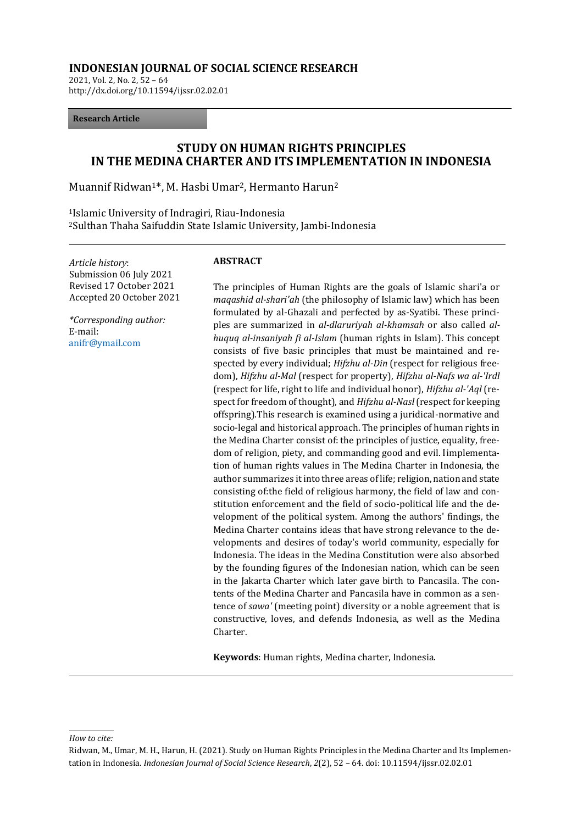### **INDONESIAN JOURNAL OF SOCIAL SCIENCE RESEARCH**

2021, Vol. 2, No. 2, 52 – 64 http://dx.doi.org/10.11594/ijssr.02.02.01

### **Research Article**

# **STUDY ON HUMAN RIGHTS PRINCIPLES IN THE MEDINA CHARTER AND ITS IMPLEMENTATION IN INDONESIA**

Muannif Ridwan1\*, M. Hasbi Umar2, Hermanto Harun<sup>2</sup>

<sup>1</sup>Islamic University of Indragiri, Riau-Indonesia <sup>2</sup>Sulthan Thaha Saifuddin State Islamic University, Jambi-Indonesia

*Article history*: Submission 06 July 2021 Revised 17 October 2021 Accepted 20 October 2021

*\*Corresponding author:* E-mail: [anifr@ymail.com](mailto:anifr@ymail.com)

### **ABSTRACT**

The principles of Human Rights are the goals of Islamic shari'a or *maqashid al-shari'ah* (the philosophy of Islamic law) which has been formulated by al-Ghazali and perfected by as-Syatibi. These principles are summarized in *al-dlaruriyah al-khamsah* or also called *alhuquq al-insaniyah fi al-Islam* (human rights in Islam). This concept consists of five basic principles that must be maintained and respected by every individual; *Hifzhu al-Din* (respect for religious freedom), *Hifzhu al-Mal* (respect for property), *Hifzhu al-Nafs wa al-'Irdl* (respect for life, right to life and individual honor), *Hifzhu al-'Aql* (respect for freedom of thought), and *Hifzhu al-Nasl* (respect for keeping offspring).This research is examined using a juridical-normative and socio-legal and historical approach. The principles of human rights in the Medina Charter consist of: the principles of justice, equality, freedom of religion, piety, and commanding good and evil. Iimplementation of human rights values in The Medina Charter in Indonesia, the author summarizes it into three areas of life; religion, nation and state consisting of:the field of religious harmony, the field of law and constitution enforcement and the field of socio-political life and the development of the political system. Among the authors' findings, the Medina Charter contains ideas that have strong relevance to the developments and desires of today's world community, especially for Indonesia. The ideas in the Medina Constitution were also absorbed by the founding figures of the Indonesian nation, which can be seen in the Jakarta Charter which later gave birth to Pancasila. The contents of the Medina Charter and Pancasila have in common as a sentence of *sawa'* (meeting point) diversity or a noble agreement that is constructive, loves, and defends Indonesia, as well as the Medina Charter.

**Keywords**: Human rights, Medina charter, Indonesia.

*How to cite:*

Ridwan, M., Umar, M. H., Harun, H. (2021). Study on Human Rights Principles in the Medina Charter and Its Implementation in Indonesia. *Indonesian Journal of Social Science Research*, *2*(2), 52 – 64. doi: 10.11594/ijssr.02.02.01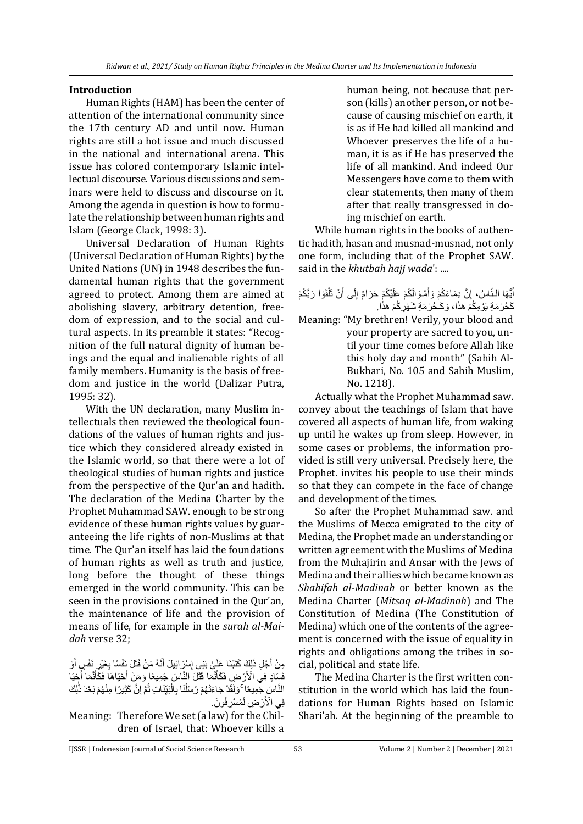### **Introduction**

Human Rights (HAM) has been the center of attention of the international community since the 17th century AD and until now. Human rights are still a hot issue and much discussed in the national and international arena. This issue has colored contemporary Islamic intellectual discourse. Various discussions and seminars were held to discuss and discourse on it. Among the agenda in question is how to formulate the relationship between human rights and Islam (George Clack, 1998: 3).

Universal Declaration of Human Rights (Universal Declaration of Human Rights) by the United Nations (UN) in 1948 describes the fundamental human rights that the government agreed to protect. Among them are aimed at abolishing slavery, arbitrary detention, freedom of expression, and to the social and cultural aspects. In its preamble it states: "Recognition of the full natural dignity of human beings and the equal and inalienable rights of all family members. Humanity is the basis of freedom and justice in the world (Dalizar Putra, 1995: 32).

With the UN declaration, many Muslim intellectuals then reviewed the theological foundations of the values of human rights and justice which they considered already existed in the Islamic world, so that there were a lot of theological studies of human rights and justice from the perspective of the Qur'an and hadith. The declaration of the Medina Charter by the Prophet Muhammad SAW. enough to be strong evidence of these human rights values by guaranteeing the life rights of non-Muslims at that time. The Qur'an itself has laid the foundations of human rights as well as truth and justice, long before the thought of these things emerged in the world community. This can be seen in the provisions contained in the Qur'an, the maintenance of life and the provision of means of life, for example in the *surah al-Maidah* verse 32;

مِنْ أَجْلِ ذَٰلِكَ كَتَبْنَا عَلَيٍٰ بَنِي إِسْرَ ائِيلَ أَنَّهُ مَنْ قَتَلَ نَفْسًا بِغَيْرٍ نَفْسٍ أَوْ َ َ ِ َٰ َ فَسَادٍ فِي الْأَرْضِ فَكَأَنَّمَا قَتَلَ النَّاسَ جَمِيعًا وَمَنْ أَحْيَاهَا فَكَأَنَّمَا أَجْيَا َ َ َ َ ِ النَّاسَ جَمِيعًا ۚ وَلَقَدْ جَاءَتْهُمْ رُسُلُنَا بِالْبَيِّنَاتِ ثُمَّ إِنَّ كَثِيرًا مِنْهُمْ بَعْدَ ذَٰلِكَ اُ ا<br>ا ِ ِ ْ فِي الْأَرْضِ لَمُسْرِفُونَ.

Meaning: Therefore We set (a law) for the Children of Israel, that: Whoever kills a human being, not because that person (kills) another person, or not because of causing mischief on earth, it is as if He had killed all mankind and Whoever preserves the life of a human, it is as if He has preserved the life of all mankind. And indeed Our Messengers have come to them with clear statements, then many of them after that really transgressed in doing mischief on earth.

While human rights in the books of authentic hadith, hasan and musnad-musnad, not only one form, including that of the Prophet SAW. said in the *khutbah hajj wada*': ....

### أَيُّهَا النَّاسُ، إِنَّ دِمَاءَكُمْ وَأَمْوَالَكُمْ عَلَيْكُمْ حَرَامٌ إِلَى أَنْ تَلْقَوْا رَبَّكُمْ َ ْ َ ِ َ ِ كَحُرْمَةِ يَوْمِكُمْ هذَا، وَكَحُرْمَةِ شَهْرِكُمْ هذَا.

Meaning: "My brethren! Verily, your blood and your property are sacred to you, until your time comes before Allah like this holy day and month" (Sahih Al-Bukhari, No. 105 and Sahih Muslim, No. 1218).

Actually what the Prophet Muhammad saw. convey about the teachings of Islam that have covered all aspects of human life, from waking up until he wakes up from sleep. However, in some cases or problems, the information provided is still very universal. Precisely here, the Prophet. invites his people to use their minds so that they can compete in the face of change and development of the times.

So after the Prophet Muhammad saw. and the Muslims of Mecca emigrated to the city of Medina, the Prophet made an understanding or written agreement with the Muslims of Medina from the Muhajirin and Ansar with the Jews of Medina and their allies which became known as *Shahifah al-Madinah* or better known as the Medina Charter (*Mitsaq al-Madinah*) and The Constitution of Medina (The Constitution of Medina) which one of the contents of the agreement is concerned with the issue of equality in rights and obligations among the tribes in social, political and state life.

The Medina Charter is the first written constitution in the world which has laid the foundations for Human Rights based on Islamic Shari'ah. At the beginning of the preamble to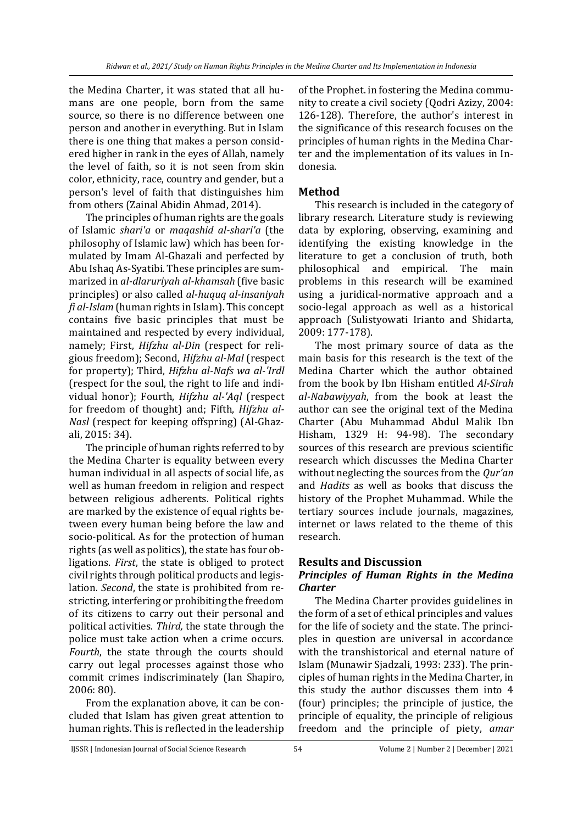the Medina Charter, it was stated that all humans are one people, born from the same source, so there is no difference between one person and another in everything. But in Islam there is one thing that makes a person considered higher in rank in the eyes of Allah, namely the level of faith, so it is not seen from skin color, ethnicity, race, country and gender, but a person's level of faith that distinguishes him from others (Zainal Abidin Ahmad, 2014).

The principles of human rights are the goals of Islamic *shari'a* or *maqashid al-shari'a* (the philosophy of Islamic law) which has been formulated by Imam Al-Ghazali and perfected by Abu Ishaq As-Syatibi. These principles are summarized in *al-dlaruriyah al-khamsah* (five basic principles) or also called *al-huquq al-insaniyah fi al-Islam* (human rights in Islam). This concept contains five basic principles that must be maintained and respected by every individual, namely; First, *Hifzhu al-Din* (respect for religious freedom); Second, *Hifzhu al-Mal* (respect for property); Third, *Hifzhu al-Nafs wa al-'Irdl* (respect for the soul, the right to life and individual honor); Fourth, *Hifzhu al-'Aql* (respect for freedom of thought) and; Fifth, *Hifzhu al-Nasl* (respect for keeping offspring) (Al-Ghazali, 2015: 34).

The principle of human rights referred to by the Medina Charter is equality between every human individual in all aspects of social life, as well as human freedom in religion and respect between religious adherents. Political rights are marked by the existence of equal rights between every human being before the law and socio-political. As for the protection of human rights (as well as politics), the state has four obligations. *First*, the state is obliged to protect civil rights through political products and legislation. *Second*, the state is prohibited from restricting, interfering or prohibiting the freedom of its citizens to carry out their personal and political activities. *Third,* the state through the police must take action when a crime occurs. *Fourth*, the state through the courts should carry out legal processes against those who commit crimes indiscriminately (Ian Shapiro, 2006: 80).

From the explanation above, it can be concluded that Islam has given great attention to human rights. This is reflected in the leadership

of the Prophet. in fostering the Medina community to create a civil society (Qodri Azizy, 2004: 126-128). Therefore, the author's interest in the significance of this research focuses on the principles of human rights in the Medina Charter and the implementation of its values in Indonesia.

## **Method**

This research is included in the category of library research. Literature study is reviewing data by exploring, observing, examining and identifying the existing knowledge in the literature to get a conclusion of truth, both philosophical and empirical. The main problems in this research will be examined using a juridical-normative approach and a socio-legal approach as well as a historical approach (Sulistyowati Irianto and Shidarta, 2009: 177-178).

The most primary source of data as the main basis for this research is the text of the Medina Charter which the author obtained from the book by Ibn Hisham entitled *Al-Sirah al-Nabawiyyah*, from the book at least the author can see the original text of the Medina Charter (Abu Muhammad Abdul Malik Ibn Hisham, 1329 H: 94-98). The secondary sources of this research are previous scientific research which discusses the Medina Charter without neglecting the sources from the *Qur'an* and *Hadits* as well as books that discuss the history of the Prophet Muhammad. While the tertiary sources include journals, magazines, internet or laws related to the theme of this research.

## **Results and Discussion**

## *Principles of Human Rights in the Medina Charter*

The Medina Charter provides guidelines in the form of a set of ethical principles and values for the life of society and the state. The principles in question are universal in accordance with the transhistorical and eternal nature of Islam (Munawir Sjadzali, 1993: 233). The principles of human rights in the Medina Charter, in this study the author discusses them into 4 (four) principles; the principle of justice, the principle of equality, the principle of religious freedom and the principle of piety, *amar*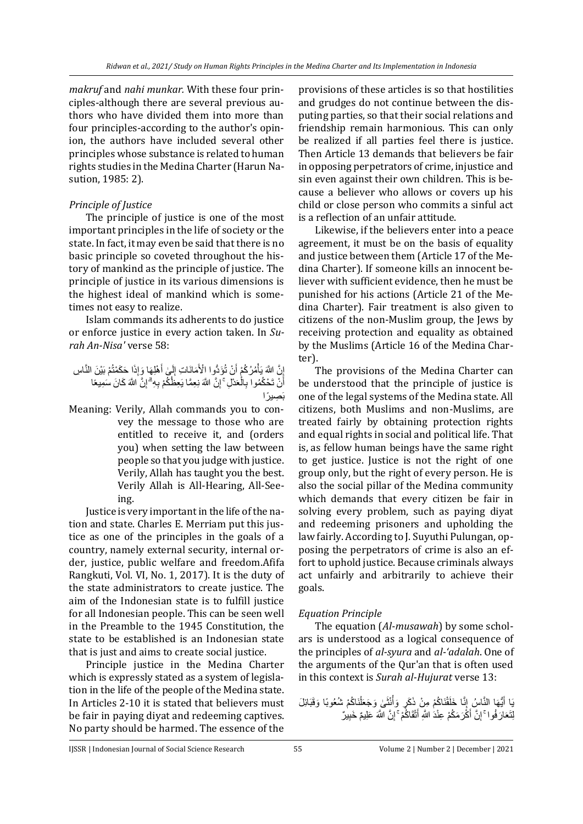*makruf* and *nahi munkar.* With these four principles-although there are several previous authors who have divided them into more than four principles-according to the author's opinion, the authors have included several other principles whose substance is related to human rights studies in the Medina Charter (Harun Nasution, 1985: 2).

## *Principle of Justice*

The principle of justice is one of the most important principles in the life of society or the state. In fact, it may even be said that there is no basic principle so coveted throughout the history of mankind as the principle of justice. The principle of justice in its various dimensions is the highest ideal of mankind which is sometimes not easy to realize.

Islam commands its adherents to do justice or enforce justice in every action taken. In *Surah An-Nisa'* verse 58:

ْم بَ ْي َن النَّا ِس َح َكْمتُ ِذَا َوإ َها ْهِل َ َٰى أ لَ ِ َمانَا ِت إ ْْلَ َؤدُّوا ا ْن تُ ْم أ ُمُركُ ْ َّن ََّّللاَ يَأ ِ إ َكا َن َسِميعًا َّن ََّّللاَ ِ ِ ِهۗ إ ْم ب َّن ََّّللاَ نِ ِعَّما يَ ِعظُكُ ِ ِلۚ إ عَدْ ْ ِال ُموا ب ْن تَ ْحكُ َ أ بَ ِصي ًرا

Meaning: Verily, Allah commands you to convey the message to those who are entitled to receive it, and (orders you) when setting the law between people so that you judge with justice. Verily, Allah has taught you the best. Verily Allah is All-Hearing, All-Seeing.

Justice is very important in the life of the nation and state. Charles E. Merriam put this justice as one of the principles in the goals of a country, namely external security, internal order, justice, public welfare and freedom.Afifa Rangkuti, Vol. VI, No. 1, 2017). It is the duty of the state administrators to create justice. The aim of the Indonesian state is to fulfill justice for all Indonesian people. This can be seen well in the Preamble to the 1945 Constitution, the state to be established is an Indonesian state that is just and aims to create social justice.

Principle justice in the Medina Charter which is expressly stated as a system of legislation in the life of the people of the Medina state. In Articles 2-10 it is stated that believers must be fair in paying diyat and redeeming captives. No party should be harmed. The essence of the

provisions of these articles is so that hostilities and grudges do not continue between the disputing parties, so that their social relations and friendship remain harmonious. This can only be realized if all parties feel there is justice. Then Article 13 demands that believers be fair in opposing perpetrators of crime, injustice and sin even against their own children. This is because a believer who allows or covers up his child or close person who commits a sinful act is a reflection of an unfair attitude.

Likewise, if the believers enter into a peace agreement, it must be on the basis of equality and justice between them (Article 17 of the Medina Charter). If someone kills an innocent believer with sufficient evidence, then he must be punished for his actions (Article 21 of the Medina Charter). Fair treatment is also given to citizens of the non-Muslim group, the Jews by receiving protection and equality as obtained by the Muslims (Article 16 of the Medina Charter).

The provisions of the Medina Charter can be understood that the principle of justice is one of the legal systems of the Medina state. All citizens, both Muslims and non-Muslims, are treated fairly by obtaining protection rights and equal rights in social and political life. That is, as fellow human beings have the same right to get justice. Justice is not the right of one group only, but the right of every person. He is also the social pillar of the Medina community which demands that every citizen be fair in solving every problem, such as paying diyat and redeeming prisoners and upholding the law fairly. According to J. Suyuthi Pulungan, opposing the perpetrators of crime is also an effort to uphold justice. Because criminals always act unfairly and arbitrarily to achieve their goals.

## *Equation Principle*

The equation (*Al-musawah*) by some scholars is understood as a logical consequence of the principles of *al-syura* and *al-'adalah*. One of the arguments of the Qur'an that is often used in this context is *Surah al-Hujurat* verse 13:

يَا أَيُّهَا النَّاسُ إِنَّا خَلَقْنَاكُمْ مِنْ ذَكَرٍ وَأُنْثَىٰ وَجَعَلْنَاكُمْ شُعُوبًا وَقَبَائِلَ ْ ا<br>ا َ لِتَعَارَ فُوا ۚ إِنَّ أَكْْرَ مَكُمْ عِنْدَ اللَّهِ أَتْقَاكُمْ ۚ إِنَّ اللَّهَ عَلِيمٌ خَبِيرٌ ۖ ِ َ ِ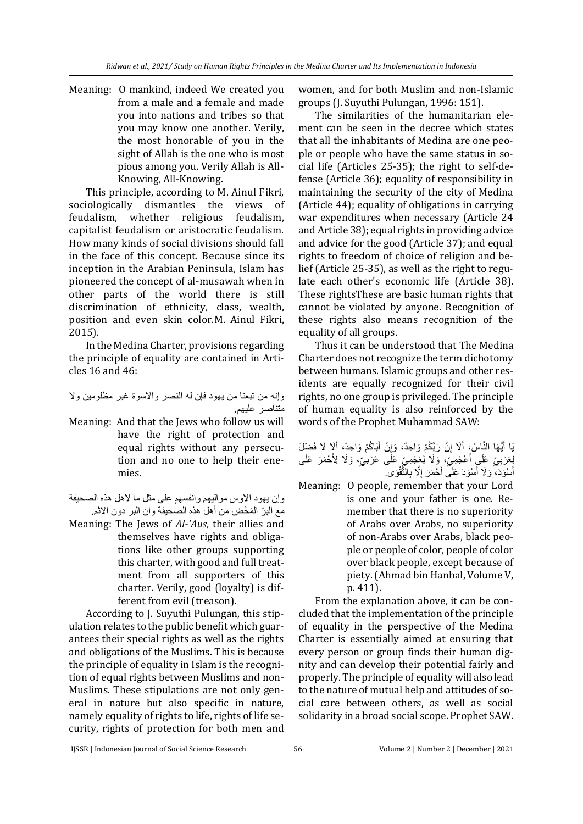Meaning: O mankind, indeed We created you from a male and a female and made you into nations and tribes so that you may know one another. Verily, the most honorable of you in the sight of Allah is the one who is most pious among you. Verily Allah is All-Knowing, All-Knowing.

This principle, according to M. Ainul Fikri, sociologically dismantles the views of feudalism, whether religious feudalism, capitalist feudalism or aristocratic feudalism. How many kinds of social divisions should fall in the face of this concept. Because since its inception in the Arabian Peninsula, Islam has pioneered the concept of al-musawah when in other parts of the world there is still discrimination of ethnicity, class, wealth, position and even skin color.M. Ainul Fikri, 2015).

In the Medina Charter, provisions regarding the principle of equality are contained in Articles 16 and 46:

وإنه من تبعنا من يهود فإن له النصر واالسوة غير مظلومين وال متناصر عليهم.

- Meaning: And that the Jews who follow us will have the right of protection and equal rights without any persecution and no one to help their enemies.
- وإن يهود الاوس مواليهم وانفسهم على مثل ما لاهل هذه الصحيفة مع الْبِرِّ الْمَحْضِ من أهل هذه الصحيفة وان البر دون الاثم.
- Meaning: The Jews of *Al-'Aus*, their allies and themselves have rights and obligations like other groups supporting this charter, with good and full treatment from all supporters of this charter. Verily, good (loyalty) is different from evil (treason).

According to J. Suyuthi Pulungan, this stipulation relates to the public benefit which guarantees their special rights as well as the rights and obligations of the Muslims. This is because the principle of equality in Islam is the recognition of equal rights between Muslims and non-Muslims. These stipulations are not only general in nature but also specific in nature, namely equality of rights to life, rights of life security, rights of protection for both men and

women, and for both Muslim and non-Islamic groups (J. Suyuthi Pulungan, 1996: 151).

The similarities of the humanitarian element can be seen in the decree which states that all the inhabitants of Medina are one people or people who have the same status in social life (Articles 25-35); the right to self-defense (Article 36); equality of responsibility in maintaining the security of the city of Medina (Article 44); equality of obligations in carrying war expenditures when necessary (Article 24 and Article 38); equal rights in providing advice and advice for the good (Article 37); and equal rights to freedom of choice of religion and belief (Article 25-35), as well as the right to regulate each other's economic life (Article 38). These rightsThese are basic human rights that cannot be violated by anyone. Recognition of these rights also means recognition of the equality of all groups.

Thus it can be understood that The Medina Charter does not recognize the term dichotomy between humans. Islamic groups and other residents are equally recognized for their civil rights, no one group is privileged. The principle of human equality is also reinforced by the words of the Prophet Muhammad SAW:

| يَا أَيُّهَا النَّاسُ، أَلَا إِنَّ رَبَّكُمْ وَاحِدٌ، وَإِنَّ أَبَاكُمْ وَاحِدٌ، أَلَا لَا فَضْلَ                                                         |  |  |  |  |
|-----------------------------------------------------------------------------------------------------------------------------------------------------------|--|--|--|--|
| لِعَرَبِيِّ عَلَى أَعْجَمِيِّ، وَلَا لِعَجَمِيِّ عَلَٰى عَرَبِيٍّ، وَلَا لِأَحْمَرَ عَلَى<br>أَسْوَدَ، وَلَا أَسْوَدَ عَلَى أَحْمَرَ إِلَّا بِالنَّقْوَى. |  |  |  |  |
|                                                                                                                                                           |  |  |  |  |

Meaning: O people, remember that your Lord is one and your father is one. Remember that there is no superiority of Arabs over Arabs, no superiority of non-Arabs over Arabs, black people or people of color, people of color over black people, except because of piety.(Ahmad bin Hanbal, Volume V, p. 411).

From the explanation above, it can be concluded that the implementation of the principle of equality in the perspective of the Medina Charter is essentially aimed at ensuring that every person or group finds their human dignity and can develop their potential fairly and properly. The principle of equality will also lead to the nature of mutual help and attitudes of social care between others, as well as social solidarity in a broad social scope. Prophet SAW.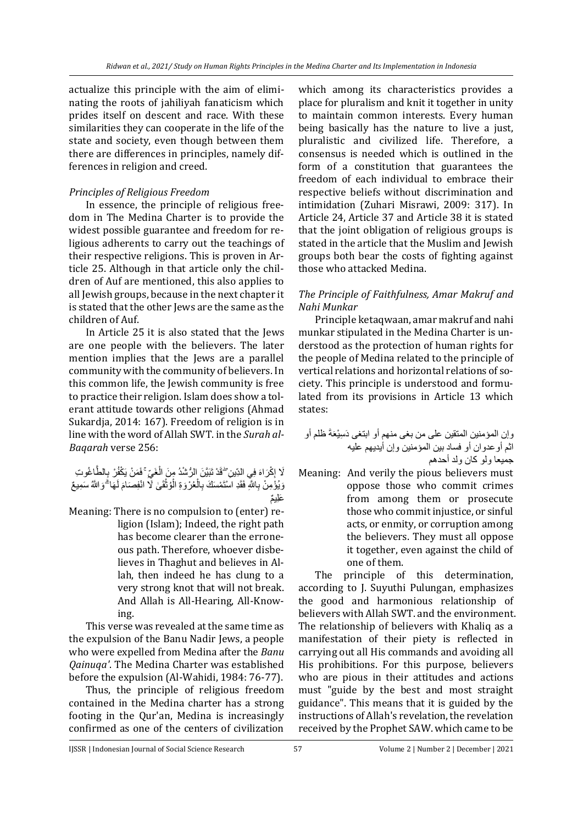actualize this principle with the aim of eliminating the roots of jahiliyah fanaticism which prides itself on descent and race. With these similarities they can cooperate in the life of the state and society, even though between them there are differences in principles, namely differences in religion and creed.

## *Principles of Religious Freedom*

In essence, the principle of religious freedom in The Medina Charter is to provide the widest possible guarantee and freedom for religious adherents to carry out the teachings of their respective religions. This is proven in Article 25. Although in that article only the children of Auf are mentioned, this also applies to all Jewish groups, because in the next chapter it is stated that the other Jews are the same as the children of Auf.

In Article 25 it is also stated that the Jews are one people with the believers. The later mention implies that the Jews are a parallel community with the community of believers. In this common life, the Jewish community is free to practice their religion. Islam does show a tolerant attitude towards other religions (Ahmad Sukardja, 2014: 167). Freedom of religion is in line with the word of Allah SWT. in the *Surah al-Baqarah* verse 256:

لَا إِكْرَاهَ فِي الدِّينِ ۖ قَدْ تَبَيَّنَ الرُّسْدُ مِنَ الْغَيِّ ۚ فَمَنْ يَكْفُرْ ۚ بِالطَّاغُوتِ ْ ِ وَيُؤْمِنْ بِاللَّهِ فَقَدِ اسْتَمْسَكَ بِالْعُرْوَةِ الْوُثْقَىٰ لَا انْفِصَامَ لَهَا ۗ وَاللَّهُ سَمِيعٌ لَ َ **ٔ** ْ ْ ٌم َعِلي

Meaning: There is no compulsion to (enter) religion (Islam); Indeed, the right path has become clearer than the erroneous path. Therefore, whoever disbelieves in Thaghut and believes in Allah, then indeed he has clung to a very strong knot that will not break. And Allah is All-Hearing, All-Knowing.

This verse was revealed at the same time as the expulsion of the Banu Nadir Jews, a people who were expelled from Medina after the *Banu Qainuqa'*. The Medina Charter was established before the expulsion (Al-Wahidi, 1984: 76-77).

Thus, the principle of religious freedom contained in the Medina charter has a strong footing in the Qur'an, Medina is increasingly confirmed as one of the centers of civilization

which among its characteristics provides a place for pluralism and knit it together in unity to maintain common interests. Every human being basically has the nature to live a just, pluralistic and civilized life. Therefore, a consensus is needed which is outlined in the form of a constitution that guarantees the freedom of each individual to embrace their respective beliefs without discrimination and intimidation (Zuhari Misrawi, 2009: 317). In Article 24, Article 37 and Article 38 it is stated that the joint obligation of religious groups is stated in the article that the Muslim and Jewish groups both bear the costs of fighting against those who attacked Medina.

## *The Principle of Faithfulness, Amar Makruf and Nahi Munkar*

Principle ketaqwaan, amar makruf and nahi munkar stipulated in the Medina Charter is understood as the protection of human rights for the people of Medina related to the principle of vertical relations and horizontal relations of society. This principle is understood and formulated from its provisions in Article 13 which states:

وإن المؤمنين المتقين على من بغى منهم أو ابتغى دَ ِسْيعَةَ ظلم أو اثم أوعدوان أو فساد بين المؤمنين وإن أيديهم عليه جميعا ولو كان ولد أحدهم

Meaning: And verily the pious believers must oppose those who commit crimes from among them or prosecute those who commit injustice, or sinful acts, or enmity, or corruption among the believers. They must all oppose it together, even against the child of one of them.

The principle of this determination, according to J. Suyuthi Pulungan, emphasizes the good and harmonious relationship of believers with Allah SWT. and the environment. The relationship of believers with Khaliq as a manifestation of their piety is reflected in carrying out all His commands and avoiding all His prohibitions. For this purpose, believers who are pious in their attitudes and actions must "guide by the best and most straight guidance". This means that it is guided by the instructions of Allah's revelation, the revelation received by the Prophet SAW. which came to be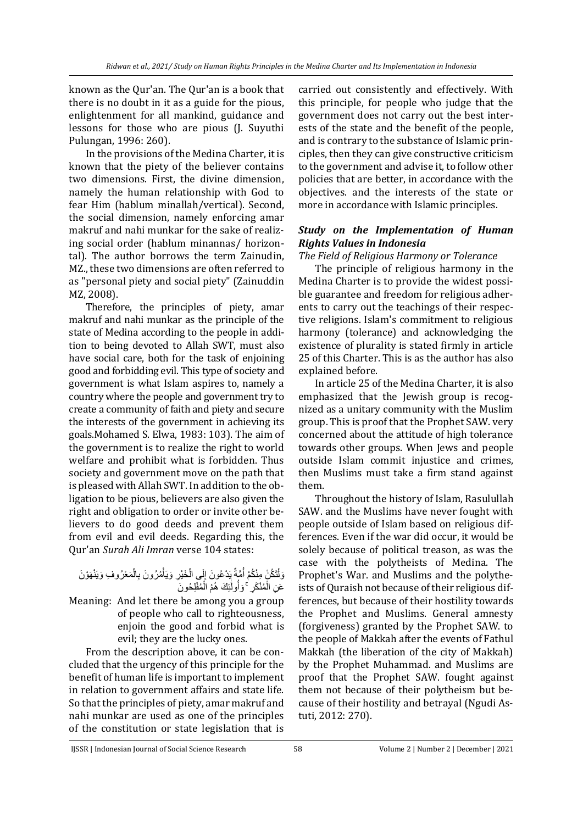known as the Qur'an. The Qur'an is a book that there is no doubt in it as a guide for the pious, enlightenment for all mankind, guidance and lessons for those who are pious (J. Suyuthi Pulungan, 1996: 260).

In the provisions of the Medina Charter, it is known that the piety of the believer contains two dimensions. First, the divine dimension, namely the human relationship with God to fear Him (hablum minallah/vertical). Second, the social dimension, namely enforcing amar makruf and nahi munkar for the sake of realizing social order (hablum minannas/ horizontal). The author borrows the term Zainudin, MZ., these two dimensions are often referred to as "personal piety and social piety" (Zainuddin MZ, 2008).

Therefore, the principles of piety, amar makruf and nahi munkar as the principle of the state of Medina according to the people in addition to being devoted to Allah SWT, must also have social care, both for the task of enjoining good and forbidding evil. This type of society and government is what Islam aspires to, namely a country where the people and government try to create a community of faith and piety and secure the interests of the government in achieving its goals.Mohamed S. Elwa, 1983: 103). The aim of the government is to realize the right to world welfare and prohibit what is forbidden. Thus society and government move on the path that is pleased with Allah SWT. In addition to the obligation to be pious, believers are also given the right and obligation to order or invite other believers to do good deeds and prevent them from evil and evil deeds. Regarding this, the Qur'an *Surah Ali Imran* verse 104 states:

#### وَلْتَكُنْ مِنْكُمْ أُمَّةٌ يَدْعُونَ إِلَى الْخَيْرِ وَيَأْمُرُونَ بِالْمَعْرُوفِ وَيَنْهَوْنَ ْ ْ ْ  $\frac{1}{2}$ ا<br>ا ْ عَنِ الْمُنْكَرِ ۚ وَأُولَٰٓئِكَ هُمُ الْمُفْلِحُونَ ْ َٰ ُ ْ

Meaning: And let there be among you a group of people who call to righteousness, enjoin the good and forbid what is evil; they are the lucky ones.

From the description above, it can be concluded that the urgency of this principle for the benefit of human life is important to implement in relation to government affairs and state life. So that the principles of piety, amar makruf and nahi munkar are used as one of the principles of the constitution or state legislation that is

carried out consistently and effectively. With this principle, for people who judge that the government does not carry out the best interests of the state and the benefit of the people, and is contrary to the substance of Islamic principles, then they can give constructive criticism to the government and advise it, to follow other policies that are better, in accordance with the objectives. and the interests of the state or more in accordance with Islamic principles.

## *Study on the Implementation of Human Rights Values in Indonesia*

*The Field of Religious Harmony or Tolerance*

The principle of religious harmony in the Medina Charter is to provide the widest possible guarantee and freedom for religious adherents to carry out the teachings of their respective religions. Islam's commitment to religious harmony (tolerance) and acknowledging the existence of plurality is stated firmly in article 25 of this Charter. This is as the author has also explained before.

In article 25 of the Medina Charter, it is also emphasized that the Jewish group is recognized as a unitary community with the Muslim group. This is proof that the Prophet SAW. very concerned about the attitude of high tolerance towards other groups. When Jews and people outside Islam commit injustice and crimes, then Muslims must take a firm stand against them.

Throughout the history of Islam, Rasulullah SAW. and the Muslims have never fought with people outside of Islam based on religious differences. Even if the war did occur, it would be solely because of political treason, as was the case with the polytheists of Medina. The Prophet's War. and Muslims and the polytheists of Quraish not because of their religious differences, but because of their hostility towards the Prophet and Muslims. General amnesty (forgiveness) granted by the Prophet SAW. to the people of Makkah after the events of Fathul Makkah (the liberation of the city of Makkah) by the Prophet Muhammad. and Muslims are proof that the Prophet SAW. fought against them not because of their polytheism but because of their hostility and betrayal (Ngudi Astuti, 2012: 270).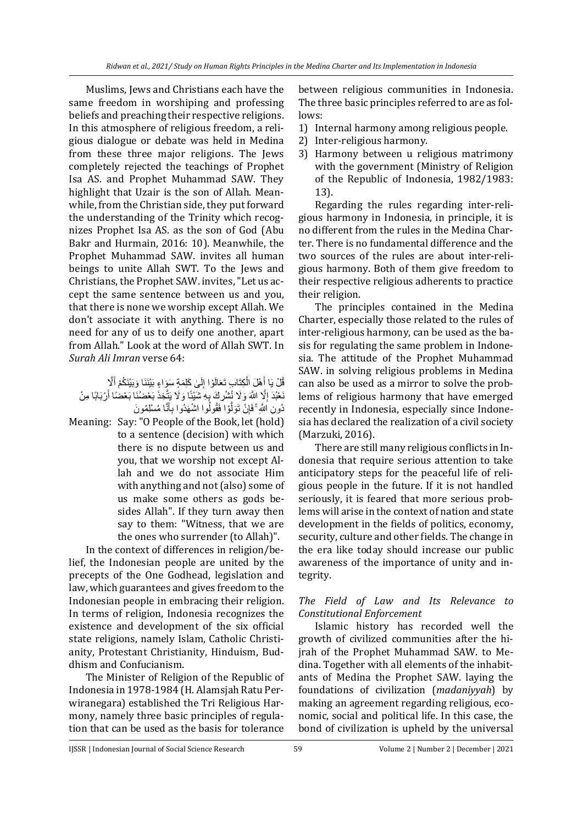Muslims, Jews and Christians each have the same freedom in worshiping and professing beliefs and preaching their respective religions. In this atmosphere of religious freedom, a religious dialogue or debate was held in Medina from these three major religions. The Jews completely rejected the teachings of Prophet Isa AS. and Prophet Muhammad SAW. They highlight that Uzair is the son of Allah. Meanwhile, from the Christian side, they put forward the understanding of the Trinity which recognizes Prophet Isa AS. as the son of God (Abu Bakr and Hurmain, 2016: 10). Meanwhile, the Prophet Muhammad SAW. invites all human beings to unite Allah SWT. To the Jews and Christians, the Prophet SAW. invites, "Let us accept the same sentence between us and you, that there is none we worship except Allah. We don't associate it with anything. There is no need for any of us to deify one another, apart from Allah." Look at the word of Allah SWT. In *Surah Ali Imran* verse 64:

قُلْ يَا أَهْلَ الْكِتَابِ تَعَالَوْا إِلَىٰ كَلِمَةٍ سَوَاءٍ بَيْنَنَا وَبَيْنَكُمْ أَلَّا لَ ِ ْ َ نَعْبُدَ إِلَّا اللَّهَ وَلَا نُشْرٍكَ بِهِ شَنَبْنًا وَلَا يَتَّخِذَ بَعْضُنَا بَعْضًا أَرْبَابًا مِنْ َ ِ دُونِ اللَّهِ ۚ فَإِنْ تَوَلَّوْا فَقُولُوا اشْهَدُوا بِأَنَّا مُسْلِمُونَ َ َّ ِ

Meaning: Say: "O People of the Book, let (hold) to a sentence (decision) with which there is no dispute between us and you, that we worship not except Allah and we do not associate Him with anything and not (also) some of us make some others as gods besides Allah". If they turn away then say to them: "Witness, that we are the ones who surrender (to Allah)".

In the context of differences in religion/belief, the Indonesian people are united by the precepts of the One Godhead, legislation and law, which guarantees and gives freedom to the Indonesian people in embracing their religion. In terms of religion, Indonesia recognizes the existence and development of the six official state religions, namely Islam, Catholic Christianity, Protestant Christianity, Hinduism, Buddhism and Confucianism.

The Minister of Religion of the Republic of Indonesia in 1978-1984 (H. Alamsjah Ratu Perwiranegara) established the Tri Religious Harmony, namely three basic principles of regulation that can be used as the basis for tolerance

between religious communities in Indonesia. The three basic principles referred to are as follows:

- 1) Internal harmony among religious people.
- 2) Inter-religious harmony.
- 3) Harmony between u religious matrimony with the government (Ministry of Religion of the Republic of Indonesia, 1982/1983: 13).

Regarding the rules regarding inter-religious harmony in Indonesia, in principle, it is no different from the rules in the Medina Charter. There is no fundamental difference and the two sources of the rules are about inter-religious harmony. Both of them give freedom to their respective religious adherents to practice their religion.

The principles contained in the Medina Charter, especially those related to the rules of inter-religious harmony, can be used as the basis for regulating the same problem in Indonesia. The attitude of the Prophet Muhammad SAW. in solving religious problems in Medina can also be used as a mirror to solve the problems of religious harmony that have emerged recently in Indonesia, especially since Indonesia has declared the realization of a civil society (Marzuki, 2016).

There are still many religious conflicts in Indonesia that require serious attention to take anticipatory steps for the peaceful life of religious people in the future. If it is not handled seriously, it is feared that more serious problems will arise in the context of nation and state development in the fields of politics, economy, security, culture and other fields. The change in the era like today should increase our public awareness of the importance of unity and integrity.

## *The Field of Law and Its Relevance to Constitutional Enforcement*

Islamic history has recorded well the growth of civilized communities after the hijrah of the Prophet Muhammad SAW. to Medina. Together with all elements of the inhabitants of Medina the Prophet SAW. laying the foundations of civilization (*madaniyyah*) by making an agreement regarding religious, economic, social and political life. In this case, the bond of civilization is upheld by the universal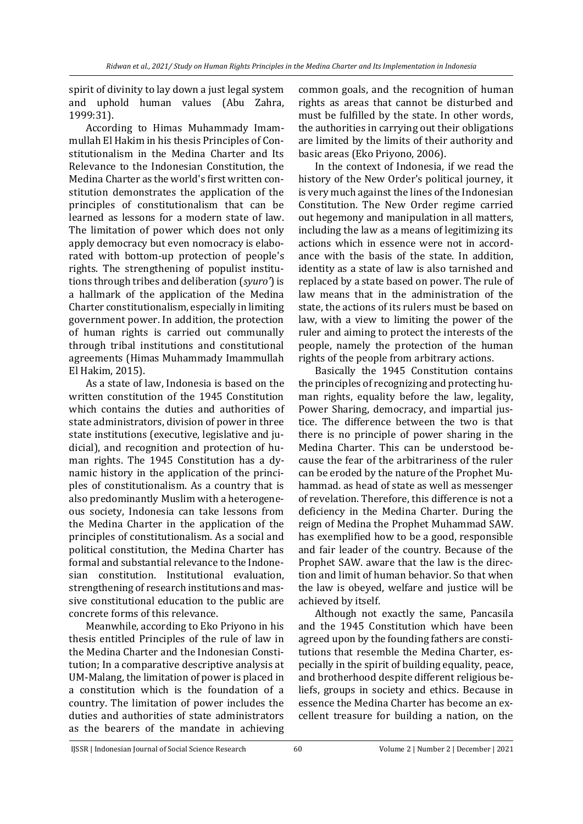spirit of divinity to lay down a just legal system and uphold human values (Abu Zahra, 1999:31).

According to Himas Muhammady Imammullah El Hakim in his thesis Principles of Constitutionalism in the Medina Charter and Its Relevance to the Indonesian Constitution, the Medina Charter as the world's first written constitution demonstrates the application of the principles of constitutionalism that can be learned as lessons for a modern state of law. The limitation of power which does not only apply democracy but even nomocracy is elaborated with bottom-up protection of people's rights. The strengthening of populist institutions through tribes and deliberation (*syuro'*) is a hallmark of the application of the Medina Charter constitutionalism, especially in limiting government power. In addition, the protection of human rights is carried out communally through tribal institutions and constitutional agreements (Himas Muhammady Imammullah El Hakim, 2015).

As a state of law, Indonesia is based on the written constitution of the 1945 Constitution which contains the duties and authorities of state administrators, division of power in three state institutions (executive, legislative and judicial), and recognition and protection of human rights. The 1945 Constitution has a dynamic history in the application of the principles of constitutionalism. As a country that is also predominantly Muslim with a heterogeneous society, Indonesia can take lessons from the Medina Charter in the application of the principles of constitutionalism. As a social and political constitution, the Medina Charter has formal and substantial relevance to the Indonesian constitution. Institutional evaluation, strengthening of research institutions and massive constitutional education to the public are concrete forms of this relevance.

Meanwhile, according to Eko Priyono in his thesis entitled Principles of the rule of law in the Medina Charter and the Indonesian Constitution; In a comparative descriptive analysis at UM-Malang, the limitation of power is placed in a constitution which is the foundation of a country. The limitation of power includes the duties and authorities of state administrators as the bearers of the mandate in achieving

common goals, and the recognition of human rights as areas that cannot be disturbed and must be fulfilled by the state. In other words, the authorities in carrying out their obligations are limited by the limits of their authority and basic areas (Eko Priyono, 2006).

In the context of Indonesia, if we read the history of the New Order's political journey, it is very much against the lines of the Indonesian Constitution. The New Order regime carried out hegemony and manipulation in all matters, including the law as a means of legitimizing its actions which in essence were not in accordance with the basis of the state. In addition, identity as a state of law is also tarnished and replaced by a state based on power. The rule of law means that in the administration of the state, the actions of its rulers must be based on law, with a view to limiting the power of the ruler and aiming to protect the interests of the people, namely the protection of the human rights of the people from arbitrary actions.

Basically the 1945 Constitution contains the principles of recognizing and protecting human rights, equality before the law, legality, Power Sharing, democracy, and impartial justice. The difference between the two is that there is no principle of power sharing in the Medina Charter. This can be understood because the fear of the arbitrariness of the ruler can be eroded by the nature of the Prophet Muhammad. as head of state as well as messenger of revelation. Therefore, this difference is not a deficiency in the Medina Charter. During the reign of Medina the Prophet Muhammad SAW. has exemplified how to be a good, responsible and fair leader of the country. Because of the Prophet SAW. aware that the law is the direction and limit of human behavior. So that when the law is obeyed, welfare and justice will be achieved by itself.

Although not exactly the same, Pancasila and the 1945 Constitution which have been agreed upon by the founding fathers are constitutions that resemble the Medina Charter, especially in the spirit of building equality, peace, and brotherhood despite different religious beliefs, groups in society and ethics. Because in essence the Medina Charter has become an excellent treasure for building a nation, on the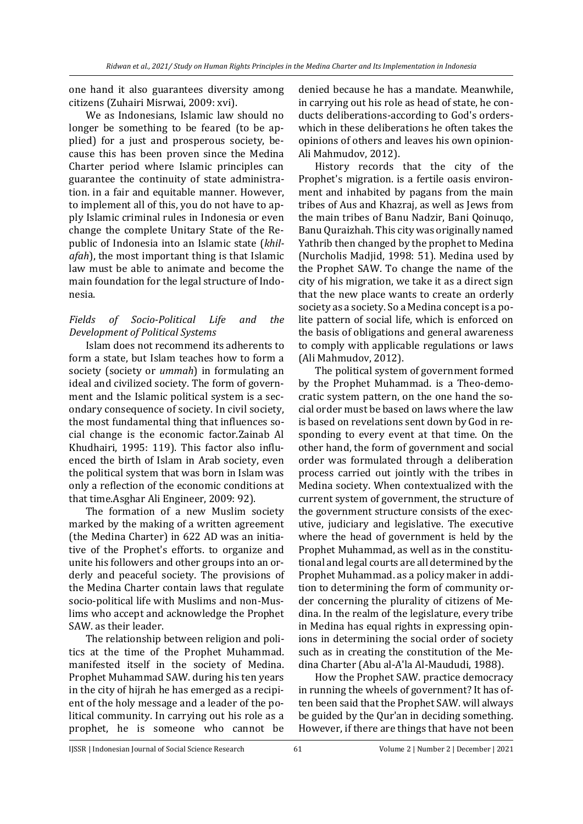one hand it also guarantees diversity among citizens (Zuhairi Misrwai, 2009: xvi).

We as Indonesians, Islamic law should no longer be something to be feared (to be applied) for a just and prosperous society, because this has been proven since the Medina Charter period where Islamic principles can guarantee the continuity of state administration. in a fair and equitable manner. However, to implement all of this, you do not have to apply Islamic criminal rules in Indonesia or even change the complete Unitary State of the Republic of Indonesia into an Islamic state (*khilafah*), the most important thing is that Islamic law must be able to animate and become the main foundation for the legal structure of Indonesia.

## *Fields of Socio-Political Life and the Development of Political Systems*

Islam does not recommend its adherents to form a state, but Islam teaches how to form a society (society or *ummah*) in formulating an ideal and civilized society. The form of government and the Islamic political system is a secondary consequence of society. In civil society, the most fundamental thing that influences social change is the economic factor.Zainab Al Khudhairi, 1995: 119). This factor also influenced the birth of Islam in Arab society, even the political system that was born in Islam was only a reflection of the economic conditions at that time.Asghar Ali Engineer, 2009: 92).

The formation of a new Muslim society marked by the making of a written agreement (the Medina Charter) in 622 AD was an initiative of the Prophet's efforts. to organize and unite his followers and other groups into an orderly and peaceful society. The provisions of the Medina Charter contain laws that regulate socio-political life with Muslims and non-Muslims who accept and acknowledge the Prophet SAW. as their leader.

The relationship between religion and politics at the time of the Prophet Muhammad. manifested itself in the society of Medina. Prophet Muhammad SAW. during his ten years in the city of hijrah he has emerged as a recipient of the holy message and a leader of the political community. In carrying out his role as a prophet, he is someone who cannot be

denied because he has a mandate. Meanwhile, in carrying out his role as head of state, he conducts deliberations-according to God's orderswhich in these deliberations he often takes the opinions of others and leaves his own opinion-Ali Mahmudov, 2012).

History records that the city of the Prophet's migration. is a fertile oasis environment and inhabited by pagans from the main tribes of Aus and Khazraj, as well as Jews from the main tribes of Banu Nadzir, Bani Qoinuqo, Banu Quraizhah. This city was originally named Yathrib then changed by the prophet to Medina (Nurcholis Madjid, 1998: 51). Medina used by the Prophet SAW. To change the name of the city of his migration, we take it as a direct sign that the new place wants to create an orderly society as a society. So a Medina concept is a polite pattern of social life, which is enforced on the basis of obligations and general awareness to comply with applicable regulations or laws (Ali Mahmudov, 2012).

The political system of government formed by the Prophet Muhammad. is a Theo-democratic system pattern, on the one hand the social order must be based on laws where the law is based on revelations sent down by God in responding to every event at that time. On the other hand, the form of government and social order was formulated through a deliberation process carried out jointly with the tribes in Medina society. When contextualized with the current system of government, the structure of the government structure consists of the executive, judiciary and legislative. The executive where the head of government is held by the Prophet Muhammad, as well as in the constitutional and legal courts are all determined by the Prophet Muhammad. as a policy maker in addition to determining the form of community order concerning the plurality of citizens of Medina. In the realm of the legislature, every tribe in Medina has equal rights in expressing opinions in determining the social order of society such as in creating the constitution of the Medina Charter (Abu al-A'la Al-Maududi, 1988).

How the Prophet SAW. practice democracy in running the wheels of government? It has often been said that the Prophet SAW. will always be guided by the Qur'an in deciding something. However, if there are things that have not been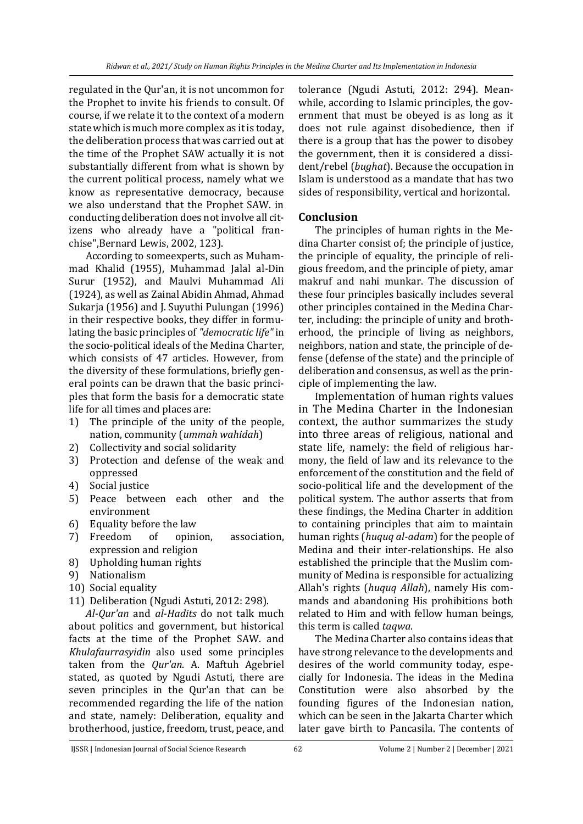regulated in the Qur'an, it is not uncommon for the Prophet to invite his friends to consult. Of course, if we relate it to the context of a modern state which is much more complex as it is today, the deliberation process that was carried out at the time of the Prophet SAW actually it is not substantially different from what is shown by the current political process, namely what we know as representative democracy, because we also understand that the Prophet SAW. in conducting deliberation does not involve all citizens who already have a "political franchise",Bernard Lewis, 2002, 123).

According to someexperts, such as Muhammad Khalid (1955), Muhammad Jalal al-Din Surur (1952), and Maulvi Muhammad Ali (1924), as well as Zainal Abidin Ahmad, Ahmad Sukarja (1956) and J. Suyuthi Pulungan (1996) in their respective books, they differ in formulating the basic principles of *"democratic life"*in the socio-political ideals of the Medina Charter, which consists of 47 articles. However, from the diversity of these formulations, briefly general points can be drawn that the basic principles that form the basis for a democratic state life for all times and places are:

- 1) The principle of the unity of the people, nation, community (*ummah wahidah*)
- 2) Collectivity and social solidarity
- 3) Protection and defense of the weak and oppressed
- 4) Social justice
- 5) Peace between each other and the environment
- 6) Equality before the law
- 7) Freedom of opinion, association, expression and religion
- 8) Upholding human rights
- 9) Nationalism
- 10) Social equality
- 11) Deliberation (Ngudi Astuti, 2012: 298).

*Al-Qur'an* and *al-Hadits* do not talk much about politics and government, but historical facts at the time of the Prophet SAW. and *Khulafaurrasyidin* also used some principles taken from the *Qur'an*. A. Maftuh Agebriel stated, as quoted by Ngudi Astuti, there are seven principles in the Qur'an that can be recommended regarding the life of the nation and state, namely: Deliberation, equality and brotherhood, justice, freedom, trust, peace, and

tolerance (Ngudi Astuti, 2012: 294). Meanwhile, according to Islamic principles, the government that must be obeyed is as long as it does not rule against disobedience, then if there is a group that has the power to disobey the government, then it is considered a dissident/rebel (*bughat*). Because the occupation in Islam is understood as a mandate that has two sides of responsibility, vertical and horizontal.

## **Conclusion**

The principles of human rights in the Medina Charter consist of; the principle of justice, the principle of equality, the principle of religious freedom, and the principle of piety, amar makruf and nahi munkar. The discussion of these four principles basically includes several other principles contained in the Medina Charter, including: the principle of unity and brotherhood, the principle of living as neighbors, neighbors, nation and state, the principle of defense (defense of the state) and the principle of deliberation and consensus, as well as the principle of implementing the law.

Implementation of human rights values in The Medina Charter in the Indonesian context, the author summarizes the study into three areas of religious, national and state life, namely: the field of religious harmony, the field of law and its relevance to the enforcement of the constitution and the field of socio-political life and the development of the political system. The author asserts that from these findings, the Medina Charter in addition to containing principles that aim to maintain human rights (*huquq al-adam*) for the people of Medina and their inter-relationships. He also established the principle that the Muslim community of Medina is responsible for actualizing Allah's rights (*huquq Allah*), namely His commands and abandoning His prohibitions both related to Him and with fellow human beings, this term is called *taqwa*.

The Medina Charter also contains ideas that have strong relevance to the developments and desires of the world community today, especially for Indonesia. The ideas in the Medina Constitution were also absorbed by the founding figures of the Indonesian nation, which can be seen in the Jakarta Charter which later gave birth to Pancasila. The contents of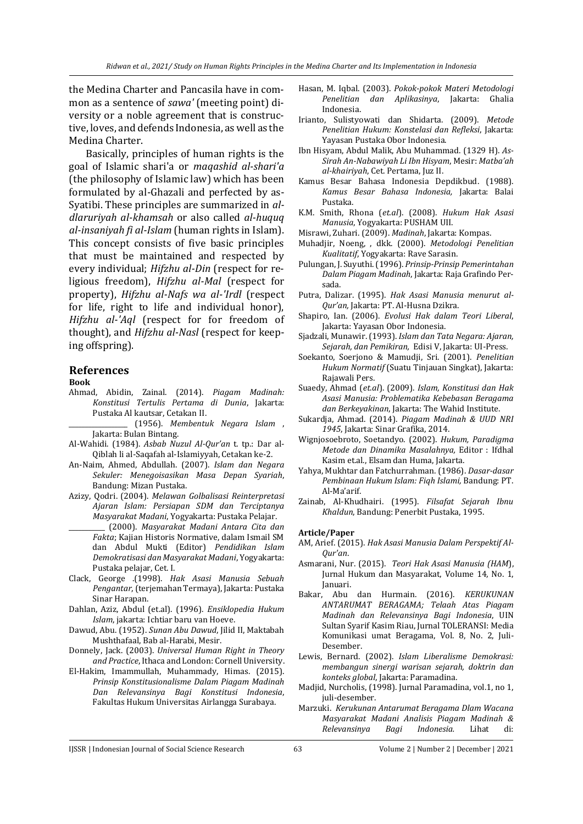the Medina Charter and Pancasila have in common as a sentence of *sawa'* (meeting point) diversity or a noble agreement that is constructive, loves, and defends Indonesia, as well as the Medina Charter.

Basically, principles of human rights is the goal of Islamic shari'a or *maqashid al-shari'a* (the philosophy of Islamic law) which has been formulated by al-Ghazali and perfected by as-Syatibi. These principles are summarized in *aldlaruriyah al-khamsah* or also called *al-huquq al-insaniyah fi al-Islam* (human rights in Islam). This concept consists of five basic principles that must be maintained and respected by every individual; *Hifzhu al-Din* (respect for religious freedom), *Hifzhu al-Mal* (respect for property), *Hifzhu al-Nafs wa al-'Irdl* (respect for life, right to life and individual honor), *Hifzhu al-'Aql* (respect for for freedom of thought), and *Hifzhu al-Nasl* (respect for keeping offspring).

### **References**

### **Book**

- Ahmad, Abidin, Zainal. (2014). *Piagam Madinah: Konstitusi Tertulis Pertama di Dunia*, Jakarta: Pustaka Al kautsar, Cetakan II.
	- \_\_\_\_\_\_\_\_\_\_\_\_\_\_\_\_\_\_ (1956). *Membentuk Negara Islam* , Jakarta: Bulan Bintang.
- Al-Wahidi. (1984). *Asbab Nuzul Al-Qur'an* t. tp.: Dar al-Qiblah li al-Saqafah al-Islamiyyah, Cetakan ke-2.
- An-Naim, Ahmed, Abdullah. (2007). *Islam dan Negara Sekuler: Menegoisasikan Masa Depan Syariah*, Bandung: Mizan Pustaka.
- Azizy, Qodri. (2004). *Melawan Golbalisasi Reinterpretasi Ajaran Islam: Persiapan SDM dan Terciptanya Masyarakat Madani*, Yogyakarta: Pustaka Pelajar.
- \_\_\_\_\_\_\_\_\_\_\_ (2000). *Masyarakat Madani Antara Cita dan Fakta*; Kajian Historis Normative, dalam Ismail SM dan Abdul Mukti (Editor) *Pendidikan Islam Demokratisasi dan Masyarakat Madani*, Yogyakarta: Pustaka pelajar, Cet. I.
- Clack, George .(1998). *Hak Asasi Manusia Sebuah Pengantar*, (terjemahan Termaya), Jakarta: Pustaka Sinar Harapan.
- Dahlan, Aziz, Abdul (et.al). (1996). *Ensiklopedia Hukum Islam*, jakarta: Ichtiar baru van Hoeve.
- Dawud, Abu. (1952). *Sunan Abu Dawud*, Jilid II, Maktabah Mushthafaal, Bab al-Harabi, Mesir.
- Donnely, Jack. (2003). *Universal Human Right in Theory and Practice*, Ithaca and London: Cornell University.
- El-Hakim, Imammullah, Muhammady, Himas. (2015). *Prinsip Konstitusionalisme Dalam Piagam Madinah Dan Relevansinya Bagi Konstitusi Indonesia*, Fakultas Hukum Universitas Airlangga Surabaya.
- Hasan, M. Iqbal. (2003). *Pokok-pokok Materi Metodologi Penelitian dan Aplikasinya*, Jakarta: Ghalia Indonesia.
- Irianto, Sulistyowati dan Shidarta. (2009). *Metode Penelitian Hukum: Konstelasi dan Refleksi*, Jakarta: Yayasan Pustaka Obor Indonesia.
- Ibn Hisyam, Abdul Malik, Abu Muhammad. (1329 H). *As-Sirah An-Nabawiyah Li Ibn Hisyam*, Mesir: *Matba'ah al-khairiyah*, Cet. Pertama, Juz II.
- Kamus Besar Bahasa Indonesia Depdikbud. (1988). *Kamus Besar Bahasa Indonesia,* Jakarta: Balai Pustaka.
- K.M. Smith, Rhona (*et.al*). (2008). *Hukum Hak Asasi Manusia*, Yogyakarta: PUSHAM UII.
- Misrawi, Zuhari. (2009). *Madinah*, Jakarta: Kompas.
- Muhadjir, Noeng, , dkk. (2000). *Metodologi Penelitian Kualitatif*, Yogyakarta: Rave Sarasin.
- Pulungan, J. Suyuthi. (1996). *Prinsip-Prinsip Pemerintahan Dalam Piagam Madinah*, Jakarta: Raja Grafindo Persada.
- Putra, Dalizar. (1995). *Hak Asasi Manusia menurut al-Qur'an,* Jakarta: PT. Al-Husna Dzikra.
- Shapiro, Ian. (2006). *Evolusi Hak dalam Teori Liberal*, Jakarta: Yayasan Obor Indonesia.
- Sjadzali, Munawir. (1993). *Islam dan Tata Negara: Ajaran, Sejarah, dan Pemikiran,* Edisi V, Jakarta: UI-Press.
- Soekanto, Soerjono & Mamudji, Sri. (2001). *Penelitian Hukum Normatif* (Suatu Tinjauan Singkat), Jakarta: Rajawali Pers.
- Suaedy, Ahmad (*et.al*). (2009). *Islam, Konstitusi dan Hak Asasi Manusia: Problematika Kebebasan Beragama dan Berkeyakinan*, Jakarta: The Wahid Institute.
- Sukardja, Ahmad. (2014). *Piagam Madinah & UUD NRI 1945*, Jakarta: Sinar Grafika, 2014.
- Wignjosoebroto, Soetandyo. (2002). *Hukum, Paradigma Metode dan Dinamika Masalahnya,* Editor : Ifdhal Kasim et.al., Elsam dan Huma, Jakarta.
- Yahya, Mukhtar dan Fatchurrahman. (1986). *Dasar-dasar Pembinaan Hukum Islam: Fiqh Islami,* Bandung: PT. Al-Ma'arif.
- Zainab, Al-Khudhairi. (1995). *Filsafat Sejarah Ibnu Khaldun*, Bandung: Penerbit Pustaka, 1995.

### **Article/Paper**

- AM, Arief. (2015). *Hak Asasi Manusia Dalam Perspektif Al-Qur'an*.
- Asmarani, Nur. (2015). *Teori Hak Asasi Manusia (HAM*), Jurnal Hukum dan Masyarakat, Volume 14, No. 1, Januari.
- Bakar, Abu dan Hurmain. (2016). *KERUKUNAN ANTARUMAT BERAGAMA; Telaah Atas Piagam Madinah dan Relevansinya Bagi Indonesia*, UIN Sultan Syarif Kasim Riau, Jurnal TOLERANSI: Media Komunikasi umat Beragama, Vol. 8, No. 2, Juli-Desember.
- Lewis, Bernard. (2002). *Islam Liberalisme Demokrasi: membangun sinergi warisan sejarah, doktrin dan konteks global*, Jakarta: Paramadina.
- Madjid, Nurcholis, (1998). Jurnal Paramadina, vol.1, no 1, juli-desember.
- Marzuki. *Kerukunan Antarumat Beragama Dlam Wacana Masyarakat Madani Analisis Piagam Madinah & Relevansinya Bagi Indonesia.* Lihat di: